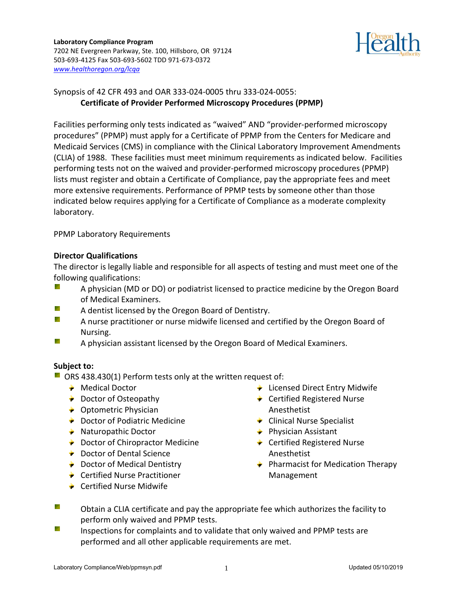

# Synopsis of 42 CFR 493 and OAR 333-024-0005 thru 333-024-0055: **Certificate of Provider Performed Microscopy Procedures (PPMP)**

Facilities performing only tests indicated as "waived" AND "provider-performed microscopy procedures" (PPMP) must apply for a Certificate of PPMP from the Centers for Medicare and Medicaid Services (CMS) in compliance with the Clinical Laboratory Improvement Amendments (CLIA) of 1988. These facilities must meet minimum requirements as indicated below. Facilities performing tests not on the waived and provider-performed microscopy procedures (PPMP) lists must register and obtain a Certificate of Compliance, pay the appropriate fees and meet more extensive requirements. Performance of PPMP tests by someone other than those indicated below requires applying for a Certificate of Compliance as a moderate complexity laboratory.

PPMP Laboratory Requirements

### **Director Qualifications**

The director is legally liable and responsible for all aspects of testing and must meet one of the following qualifications:

- Ñ. A physician (MD or DO) or podiatrist licensed to practice medicine by the Oregon Board of Medical Examiners.
- ₹. A dentist licensed by the Oregon Board of Dentistry.
- ₿Y. A nurse practitioner or nurse midwife licensed and certified by the Oregon Board of Nursing.
- Ŗ. A physician assistant licensed by the Oregon Board of Medical Examiners.

## **Subject to:**

- $\blacksquare$  ORS 438.430(1) Perform tests only at the written request of:
	- **← Medical Doctor**
	- ◆ Doctor of Osteopathy
	- **← Optometric Physician**
	- **►** Doctor of Podiatric Medicine
	- $\triangle$  Naturopathic Doctor
	- **►** Doctor of Chiropractor Medicine
	- **← Doctor of Dental Science**
	- **►** Doctor of Medical Dentistry
	- **← Certified Nurse Practitioner**
	- **← Certified Nurse Midwife**
- **EXECUTE:** Licensed Direct Entry Midwife
- ← Certified Registered Nurse Anesthetist
- **← Clinical Nurse Specialist**
- $\div$  Physician Assistant
- ◆ Certified Registered Nurse Anesthetist
- $\div$  Pharmacist for Medication Therapy Management
- ₹. Obtain a CLIA certificate and pay the appropriate fee which authorizes the facility to perform only waived and PPMP tests.
- ₹. Inspections for complaints and to validate that only waived and PPMP tests are performed and all other applicable requirements are met.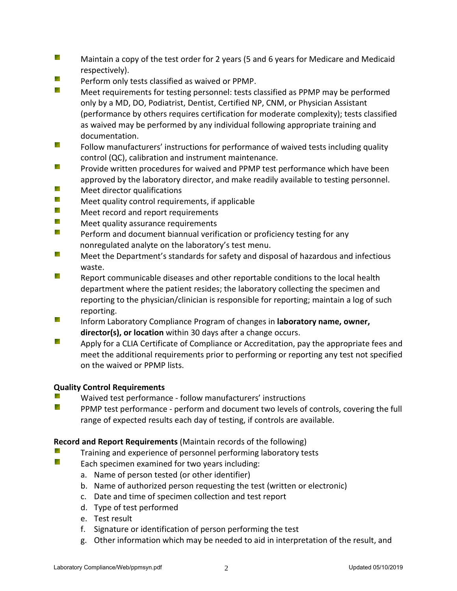- ₹ Maintain a copy of the test order for 2 years (5 and 6 years for Medicare and Medicaid respectively).
- Ų. Perform only tests classified as waived or PPMP.
- Ų. Meet requirements for testing personnel: tests classified as PPMP may be performed only by a MD, DO, Podiatrist, Dentist, Certified NP, CNM, or Physician Assistant (performance by others requires certification for moderate complexity); tests classified as waived may be performed by any individual following appropriate training and documentation.
- Ñ. Follow manufacturers' instructions for performance of waived tests including quality control (QC), calibration and instrument maintenance.
- Ķ. Provide written procedures for waived and PPMP test performance which have been approved by the laboratory director, and make readily available to testing personnel.
- Ķ. Meet director qualifications
- e e de la contrada de la contrada de la contrada de la contrada de la contrada de la contrada de la contrada d<br>En la contrada de la contrada de la contrada de la contrada de la contrada de la contrada de la contrada de la Meet quality control requirements, if applicable
- B. Meet record and report requirements
- ₹. Meet quality assurance requirements
- e. Perform and document biannual verification or proficiency testing for any nonregulated analyte on the laboratory's test menu.
- Ķ. Meet the Department's standards for safety and disposal of hazardous and infectious waste.
- Ř. Report communicable diseases and other reportable conditions to the local health department where the patient resides; the laboratory collecting the specimen and reporting to the physician/clinician is responsible for reporting; maintain a log of such reporting.
- **R** Inform Laboratory Compliance Program of changes in **laboratory name, owner, director(s), or location** within 30 days after a change occurs.
- **SAN** Apply for a CLIA Certificate of Compliance or Accreditation, pay the appropriate fees and meet the additional requirements prior to performing or reporting any test not specified on the waived or PPMP lists.

## **Quality Control Requirements**

- ₹. Waived test performance - follow manufacturers' instructions
- Ų. PPMP test performance - perform and document two levels of controls, covering the full range of expected results each day of testing, if controls are available.

## **Record and Report Requirements** (Maintain records of the following)

- ₹. Training and experience of personnel performing laboratory tests
- Ř. Each specimen examined for two years including:
	- a. Name of person tested (or other identifier)
	- b. Name of authorized person requesting the test (written or electronic)
	- c. Date and time of specimen collection and test report
	- d. Type of test performed
	- e. Test result
	- f. Signature or identification of person performing the test
	- g. Other information which may be needed to aid in interpretation of the result, and